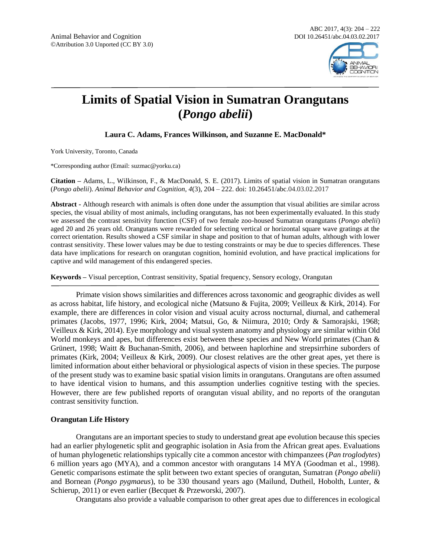

# **Limits of Spatial Vision in Sumatran Orangutans (***Pongo abelii***)**

**Laura C. Adams, Frances Wilkinson, and Suzanne E. MacDonald\***

York University, Toronto, Canada

\*Corresponding author (Email: suzmac@yorku.ca)

**Citation –** Adams, L., Wilkinson, F., & MacDonald, S. E. (2017). Limits of spatial vision in Sumatran orangutans (*Pongo abelii*). *Animal Behavior and Cognition, 4*(3), 204 – 222. doi: 10.26451/abc.04.03.02.2017

**Abstract -** Although research with animals is often done under the assumption that visual abilities are similar across species, the visual ability of most animals, including orangutans, has not been experimentally evaluated. In this study we assessed the contrast sensitivity function (CSF) of two female zoo-housed Sumatran orangutans (*Pongo abelii*) aged 20 and 26 years old. Orangutans were rewarded for selecting vertical or horizontal square wave gratings at the correct orientation. Results showed a CSF similar in shape and position to that of human adults, although with lower contrast sensitivity. These lower values may be due to testing constraints or may be due to species differences. These data have implications for research on orangutan cognition, hominid evolution, and have practical implications for captive and wild management of this endangered species.

**Keywords –** Visual perception, Contrast sensitivity, Spatial frequency, Sensory ecology, Orangutan

Primate vision shows similarities and differences across taxonomic and geographic divides as well as across habitat, life history, and ecological niche (Matsuno & Fujita, 2009; Veilleux & Kirk, 2014). For example, there are differences in color vision and visual acuity across nocturnal, diurnal, and cathemeral primates (Jacobs, 1977, 1996; Kirk, 2004; Matsui, Go, & Niimura, 2010; Ordy & Samorajski, 1968; Veilleux & Kirk, 2014). Eye morphology and visual system anatomy and physiology are similar within Old World monkeys and apes, but differences exist between these species and New World primates (Chan & Grünert, 1998; Waitt & Buchanan-Smith, 2006), and between haplorhine and strepsirrhine suborders of primates (Kirk, 2004; Veilleux & Kirk, 2009). Our closest relatives are the other great apes, yet there is limited information about either behavioral or physiological aspects of vision in these species. The purpose of the present study was to examine basic spatial vision limits in orangutans. Orangutans are often assumed to have identical vision to humans, and this assumption underlies cognitive testing with the species. However, there are few published reports of orangutan visual ability, and no reports of the orangutan contrast sensitivity function.

# **Orangutan Life History**

Orangutans are an important species to study to understand great ape evolution because this species had an earlier phylogenetic split and geographic isolation in Asia from the African great apes. Evaluations of human phylogenetic relationships typically cite a common ancestor with chimpanzees (*Pan troglodytes*) 6 million years ago (MYA), and a common ancestor with orangutans 14 MYA (Goodman et al., 1998). Genetic comparisons estimate the split between two extant species of orangutan, Sumatran (*Pongo abelii*) and Bornean (*Pongo pygmaeus*), to be 330 thousand years ago (Mailund, Dutheil, Hobolth, Lunter, & Schierup, 2011) or even earlier (Becquet & Przeworski, 2007).

Orangutans also provide a valuable comparison to other great apes due to differences in ecological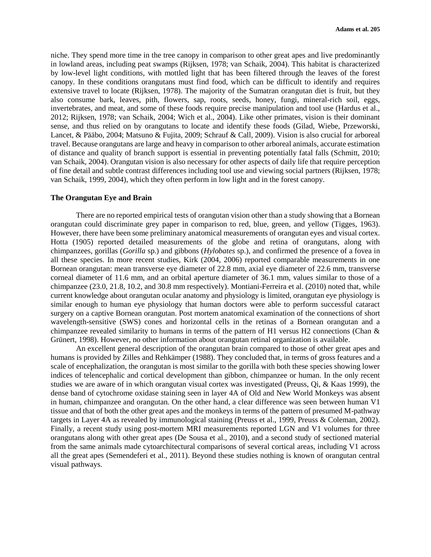niche. They spend more time in the tree canopy in comparison to other great apes and live predominantly in lowland areas, including peat swamps (Rijksen, 1978; van Schaik, 2004). This habitat is characterized by low-level light conditions, with mottled light that has been filtered through the leaves of the forest canopy. In these conditions orangutans must find food, which can be difficult to identify and requires extensive travel to locate (Rijksen, 1978). The majority of the Sumatran orangutan diet is fruit, but they also consume bark, leaves, pith, flowers, sap, roots, seeds, honey, fungi, mineral-rich soil, eggs, invertebrates, and meat, and some of these foods require precise manipulation and tool use (Hardus et al., 2012; Rijksen, 1978; van Schaik, 2004; Wich et al., 2004). Like other primates, vision is their dominant sense, and thus relied on by orangutans to locate and identify these foods (Gilad, Wiebe, Przeworski, Lancet, & Pääbo, 2004; Matsuno & Fujita, 2009; Schrauf & Call, 2009). Vision is also crucial for arboreal travel. Because orangutans are large and heavy in comparison to other arboreal animals, accurate estimation of distance and quality of branch support is essential in preventing potentially fatal falls (Schmitt, 2010; van Schaik, 2004). Orangutan vision is also necessary for other aspects of daily life that require perception of fine detail and subtle contrast differences including tool use and viewing social partners (Rijksen, 1978; van Schaik, 1999, 2004), which they often perform in low light and in the forest canopy.

# **The Orangutan Eye and Brain**

There are no reported empirical tests of orangutan vision other than a study showing that a Bornean orangutan could discriminate grey paper in comparison to red, blue, green, and yellow (Tigges, 1963). However, there have been some preliminary anatomical measurements of orangutan eyes and visual cortex. Hotta (1905) reported detailed measurements of the globe and retina of orangutans, along with chimpanzees, gorillas (*Gorilla* sp.) and gibbons (*Hylobates* sp.), and confirmed the presence of a fovea in all these species. In more recent studies, Kirk (2004, 2006) reported comparable measurements in one Bornean orangutan: mean transverse eye diameter of 22.8 mm, axial eye diameter of 22.6 mm, transverse corneal diameter of 11.6 mm, and an orbital aperture diameter of 36.1 mm, values similar to those of a chimpanzee (23.0, 21.8, 10.2, and 30.8 mm respectively). Montiani-Ferreira et al. (2010) noted that, while current knowledge about orangutan ocular anatomy and physiology is limited, orangutan eye physiology is similar enough to human eye physiology that human doctors were able to perform successful cataract surgery on a captive Bornean orangutan. Post mortem anatomical examination of the connections of short wavelength-sensitive (SWS) cones and horizontal cells in the retinas of a Bornean orangutan and a chimpanzee revealed similarity to humans in terms of the pattern of H1 versus H2 connections (Chan & Grünert, 1998). However, no other information about orangutan retinal organization is available.

An excellent general description of the orangutan brain compared to those of other great apes and humans is provided by Zilles and Rehkämper (1988). They concluded that, in terms of gross features and a scale of encephalization, the orangutan is most similar to the gorilla with both these species showing lower indices of telencephalic and cortical development than gibbon, chimpanzee or human. In the only recent studies we are aware of in which orangutan visual cortex was investigated (Preuss, Qi, & Kaas 1999), the dense band of cytochrome oxidase staining seen in layer 4A of Old and New World Monkeys was absent in human, chimpanzee and orangutan. On the other hand, a clear difference was seen between human V1 tissue and that of both the other great apes and the monkeys in terms of the pattern of presumed M-pathway targets in Layer 4A as revealed by immunological staining (Preuss et al., 1999, Preuss & Coleman, 2002). Finally, a recent study using post-mortem MRI measurements reported LGN and V1 volumes for three orangutans along with other great apes (De Sousa et al., 2010), and a second study of sectioned material from the same animals made cytoarchitectural comparisons of several cortical areas, including V1 across all the great apes (Semendeferi et al., 2011). Beyond these studies nothing is known of orangutan central visual pathways.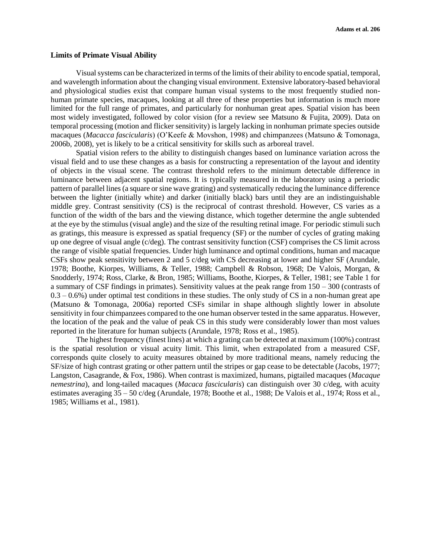## **Limits of Primate Visual Ability**

Visual systems can be characterized in terms of the limits of their ability to encode spatial, temporal, and wavelength information about the changing visual environment. Extensive laboratory-based behavioral and physiological studies exist that compare human visual systems to the most frequently studied nonhuman primate species, macaques, looking at all three of these properties but information is much more limited for the full range of primates, and particularly for nonhuman great apes. Spatial vision has been most widely investigated, followed by color vision (for a review see Matsuno & Fujita, 2009). Data on temporal processing (motion and flicker sensitivity) is largely lacking in nonhuman primate species outside macaques (*Macacca fascicularis*) (O'Keefe & Movshon, 1998) and chimpanzees (Matsuno & Tomonaga, 2006b, 2008), yet is likely to be a critical sensitivity for skills such as arboreal travel.

Spatial vision refers to the ability to distinguish changes based on luminance variation across the visual field and to use these changes as a basis for constructing a representation of the layout and identity of objects in the visual scene. The contrast threshold refers to the minimum detectable difference in luminance between adjacent spatial regions. It is typically measured in the laboratory using a periodic pattern of parallel lines (a square or sine wave grating) and systematically reducing the luminance difference between the lighter (initially white) and darker (initially black) bars until they are an indistinguishable middle grey. Contrast sensitivity (CS) is the reciprocal of contrast threshold. However, CS varies as a function of the width of the bars and the viewing distance, which together determine the angle subtended at the eye by the stimulus (visual angle) and the size of the resulting retinal image. For periodic stimuli such as gratings, this measure is expressed as spatial frequency (SF) or the number of cycles of grating making up one degree of visual angle (c/deg). The contrast sensitivity function (CSF) comprises the CS limit across the range of visible spatial frequencies. Under high luminance and optimal conditions, human and macaque CSFs show peak sensitivity between 2 and 5 c/deg with CS decreasing at lower and higher SF (Arundale, 1978; Boothe, Kiorpes, Williams, & Teller, 1988; Campbell & Robson, 1968; De Valois, Morgan, & Snodderly, 1974; Ross, Clarke, & Bron, 1985; Williams, Boothe, Kiorpes, & Teller, 1981; see Table 1 for a summary of CSF findings in primates). Sensitivity values at the peak range from 150 – 300 (contrasts of  $0.3 - 0.6\%$ ) under optimal test conditions in these studies. The only study of CS in a non-human great ape (Matsuno & Tomonaga, 2006a) reported CSFs similar in shape although slightly lower in absolute sensitivity in four chimpanzees compared to the one human observer tested in the same apparatus. However, the location of the peak and the value of peak CS in this study were considerably lower than most values reported in the literature for human subjects (Arundale, 1978; Ross et al., 1985).

The highest frequency (finest lines) at which a grating can be detected at maximum (100%) contrast is the spatial resolution or visual acuity limit. This limit, when extrapolated from a measured CSF, corresponds quite closely to acuity measures obtained by more traditional means, namely reducing the SF/size of high contrast grating or other pattern until the stripes or gap cease to be detectable (Jacobs, 1977; Langston, Casagrande, & Fox, 1986). When contrast is maximized, humans, pigtailed macaques (*Macaque nemestrina*), and long-tailed macaques (*Macaca fascicularis*) can distinguish over 30 c/deg, with acuity estimates averaging 35 – 50 c/deg (Arundale, 1978; Boothe et al., 1988; De Valois et al., 1974; Ross et al., 1985; Williams et al., 1981).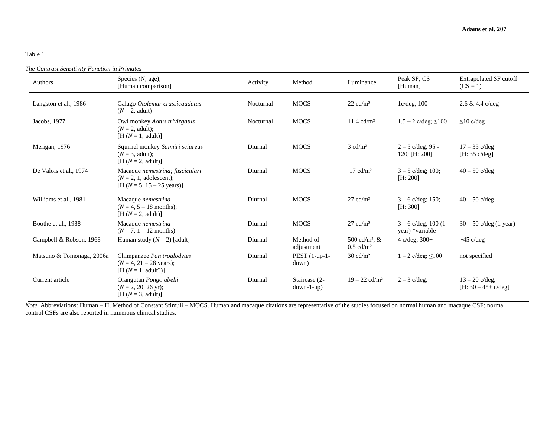# Table 1

#### *The Contrast Sensitivity Function in Primates*

| Authors                   | Species (N, age);<br>[Human comparison]                                                                 | Activity  | Method                        | Luminance                                              | Peak SF; CS<br>[Human]                    | <b>Extrapolated SF cutoff</b><br>$(CS = 1)$ |
|---------------------------|---------------------------------------------------------------------------------------------------------|-----------|-------------------------------|--------------------------------------------------------|-------------------------------------------|---------------------------------------------|
| Langston et al., 1986     | Galago Otolemur crassicaudatus<br>$(N=2, \text{ adult})$                                                | Nocturnal | <b>MOCS</b>                   | $22 \text{ cd/m}^2$                                    | $1c/deg$ ; 100                            | $2.6 \& 4.4 \text{ c/deg}$                  |
| Jacobs, 1977              | Owl monkey Aotus trivirgatus<br>$(N=2, \text{ adult})$ :<br>$[H(N=1, adult)]$                           | Nocturnal | <b>MOCS</b>                   | $11.4 \text{ cd/m}^2$                                  | $1.5 - 2$ c/deg; $\leq 100$               | $\leq 10$ c/deg                             |
| Merigan, 1976             | Squirrel monkey Saimiri sciureus<br>$(N = 3$ , adult);<br>$[H (N = 2, adult)]$                          | Diurnal   | <b>MOCS</b>                   | $3 \text{ cd/m}^2$                                     | $2 - 5$ c/deg; 95 -<br>120; [H: 200]      | $17 - 35$ c/deg<br>[H: 35 c/deg]            |
| De Valois et al., 1974    | Macaque nemestrina; fasciculari<br>$(N = 2, 1, \text{adolescent});$<br>$[H (N=5, 15-25 \text{ years})]$ | Diurnal   | <b>MOCS</b>                   | $17 \text{ cd/m}^2$                                    | $3 - 5$ c/deg; 100;<br>[H: 200]           | $40 - 50$ c/deg                             |
| Williams et al., 1981     | Macaque nemestrina<br>$(N = 4, 5 - 18 \text{ months});$<br>$[H (N = 2, adult)]$                         | Diurnal   | <b>MOCS</b>                   | $27 \text{ cd/m}^2$                                    | $3 - 6$ c/deg; 150;<br>[H: 300]           | $40 - 50$ c/deg                             |
| Boothe et al., 1988       | Macaque <i>nemestrina</i><br>$(N = 7, 1 - 12 \text{ months})$                                           | Diurnal   | <b>MOCS</b>                   | $27 \text{ cd/m}^2$                                    | $3 - 6$ c/deg; 100 (1)<br>year) *variable | $30 - 50$ c/deg (1 year)                    |
| Campbell & Robson, 1968   | Human study $(N = 2)$ [adult]                                                                           | Diurnal   | Method of<br>adjustment       | 500 cd/m <sup>2</sup> , $&$<br>$0.5$ cd/m <sup>2</sup> | 4 $c/deg$ ; 300+                          | $\sim$ 45 c/deg                             |
| Matsuno & Tomonaga, 2006a | Chimpanzee Pan troglodytes<br>$(N = 4, 21 - 28 \text{ years});$<br>$[H (N = 1, adult?)]$                | Diurnal   | $PEST(1-up-1-$<br>down)       | $30 \text{ cd/m}^2$                                    | $1 - 2$ c/deg; $\leq 100$                 | not specified                               |
| Current article           | Orangutan Pongo abelii<br>$(N = 2, 20, 26$ yr);<br>$[H (N=3, adult)]$                                   | Diurnal   | Staircase (2-<br>$down-l-up)$ | $19 - 22$ cd/m <sup>2</sup>                            | $2 - 3$ c/deg;                            | $13 - 20$ c/deg;<br>$[H: 30 - 45 + c/deg]$  |

 *Note*. Abbreviations: Human – H, Method of Constant Stimuli – MOCS. Human and macaque citations are representative of the studies focused on normal human and macaque CSF; normal control CSFs are also reported in numerous clinical studies.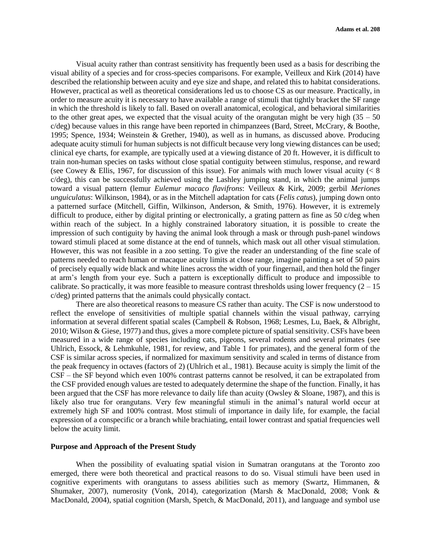Visual acuity rather than contrast sensitivity has frequently been used as a basis for describing the visual ability of a species and for cross-species comparisons. For example, Veilleux and Kirk (2014) have described the relationship between acuity and eye size and shape, and related this to habitat considerations. However, practical as well as theoretical considerations led us to choose CS as our measure. Practically, in order to measure acuity it is necessary to have available a range of stimuli that tightly bracket the SF range in which the threshold is likely to fall. Based on overall anatomical, ecological, and behavioral similarities to the other great apes, we expected that the visual acuity of the orangutan might be very high  $(35 - 50)$ c/deg) because values in this range have been reported in chimpanzees (Bard, Street, McCrary, & Boothe, 1995; Spence, 1934; Weinstein & Grether, 1940), as well as in humans, as discussed above. Producing adequate acuity stimuli for human subjects is not difficult because very long viewing distances can be used; clinical eye charts, for example, are typically used at a viewing distance of 20 ft. However, it is difficult to train non-human species on tasks without close spatial contiguity between stimulus, response, and reward (see Cowey & Ellis, 1967, for discussion of this issue). For animals with much lower visual acuity  $\langle \times 8 \rangle$ c/deg), this can be successfully achieved using the Lashley jumping stand, in which the animal jumps toward a visual pattern (lemur *Eulemur macaco flavifrons*: Veilleux & Kirk, 2009; gerbil *Meriones unguiculatus*: Wilkinson, 1984), or as in the Mitchell adaptation for cats (*Felis catus*), jumping down onto a patterned surface (Mitchell, Giffin, Wilkinson, Anderson, & Smith, 1976). However, it is extremely difficult to produce, either by digital printing or electronically, a grating pattern as fine as 50 c/deg when within reach of the subject. In a highly constrained laboratory situation, it is possible to create the impression of such contiguity by having the animal look through a mask or through push-panel windows toward stimuli placed at some distance at the end of tunnels, which mask out all other visual stimulation. However, this was not feasible in a zoo setting. To give the reader an understanding of the fine scale of patterns needed to reach human or macaque acuity limits at close range, imagine painting a set of 50 pairs of precisely equally wide black and white lines across the width of your fingernail, and then hold the finger at arm's length from your eye. Such a pattern is exceptionally difficult to produce and impossible to calibrate. So practically, it was more feasible to measure contrast thresholds using lower frequency  $(2 - 15)$ c/deg) printed patterns that the animals could physically contact.

There are also theoretical reasons to measure CS rather than acuity. The CSF is now understood to reflect the envelope of sensitivities of multiple spatial channels within the visual pathway, carrying information at several different spatial scales (Campbell & Robson, 1968; Lesmes, Lu, Baek, & Albright, 2010; Wilson & Giese, 1977) and thus, gives a more complete picture of spatial sensitivity. CSFs have been measured in a wide range of species including cats, pigeons, several rodents and several primates (see Uhlrich, Essock, & Lehmkuhle, 1981, for review, and Table 1 for primates), and the general form of the CSF is similar across species, if normalized for maximum sensitivity and scaled in terms of distance from the peak frequency in octaves (factors of 2) (Uhlrich et al., 1981). Because acuity is simply the limit of the CSF – the SF beyond which even 100% contrast patterns cannot be resolved, it can be extrapolated from the CSF provided enough values are tested to adequately determine the shape of the function. Finally, it has been argued that the CSF has more relevance to daily life than acuity (Owsley & Sloane, 1987), and this is likely also true for orangutans. Very few meaningful stimuli in the animal's natural world occur at extremely high SF and 100% contrast. Most stimuli of importance in daily life, for example, the facial expression of a conspecific or a branch while brachiating, entail lower contrast and spatial frequencies well below the acuity limit.

## **Purpose and Approach of the Present Study**

When the possibility of evaluating spatial vision in Sumatran orangutans at the Toronto zoo emerged, there were both theoretical and practical reasons to do so. Visual stimuli have been used in cognitive experiments with orangutans to assess abilities such as memory (Swartz, Himmanen, & Shumaker, 2007), numerosity (Vonk, 2014), categorization (Marsh & MacDonald, 2008; Vonk & MacDonald, 2004), spatial cognition (Marsh, Spetch, & MacDonald, 2011), and language and symbol use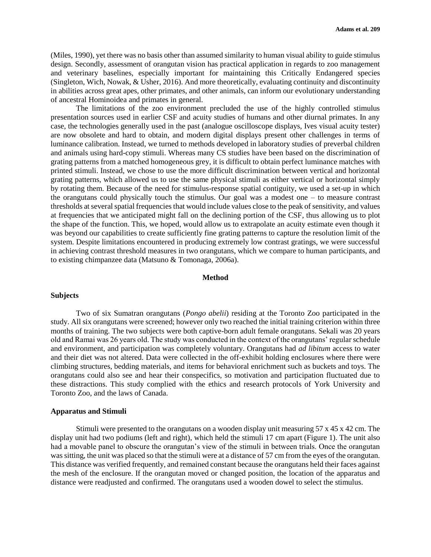(Miles, 1990), yet there was no basis other than assumed similarity to human visual ability to guide stimulus design. Secondly, assessment of orangutan vision has practical application in regards to zoo management and veterinary baselines, especially important for maintaining this Critically Endangered species (Singleton, Wich, Nowak, & Usher, 2016). And more theoretically, evaluating continuity and discontinuity in abilities across great apes, other primates, and other animals, can inform our evolutionary understanding of ancestral Hominoidea and primates in general.

The limitations of the zoo environment precluded the use of the highly controlled stimulus presentation sources used in earlier CSF and acuity studies of humans and other diurnal primates. In any case, the technologies generally used in the past (analogue oscilloscope displays, Ives visual acuity tester) are now obsolete and hard to obtain, and modern digital displays present other challenges in terms of luminance calibration. Instead, we turned to methods developed in laboratory studies of preverbal children and animals using hard-copy stimuli. Whereas many CS studies have been based on the discrimination of grating patterns from a matched homogeneous grey, it is difficult to obtain perfect luminance matches with printed stimuli. Instead, we chose to use the more difficult discrimination between vertical and horizontal grating patterns, which allowed us to use the same physical stimuli as either vertical or horizontal simply by rotating them. Because of the need for stimulus-response spatial contiguity, we used a set-up in which the orangutans could physically touch the stimulus. Our goal was a modest one – to measure contrast thresholds at several spatial frequencies that would include values close to the peak of sensitivity, and values at frequencies that we anticipated might fall on the declining portion of the CSF, thus allowing us to plot the shape of the function. This, we hoped, would allow us to extrapolate an acuity estimate even though it was beyond our capabilities to create sufficiently fine grating patterns to capture the resolution limit of the system. Despite limitations encountered in producing extremely low contrast gratings, we were successful in achieving contrast threshold measures in two orangutans, which we compare to human participants, and to existing chimpanzee data (Matsuno & Tomonaga, 2006a).

#### **Method**

#### **Subjects**

Two of six Sumatran orangutans (*Pongo abelii*) residing at the Toronto Zoo participated in the study. All six orangutans were screened; however only two reached the initial training criterion within three months of training. The two subjects were both captive-born adult female orangutans. Sekali was 20 years old and Ramai was 26 years old. The study was conducted in the context of the orangutans' regular schedule and environment, and participation was completely voluntary. Orangutans had *ad libitum* access to water and their diet was not altered. Data were collected in the off-exhibit holding enclosures where there were climbing structures, bedding materials, and items for behavioral enrichment such as buckets and toys. The orangutans could also see and hear their conspecifics, so motivation and participation fluctuated due to these distractions. This study complied with the ethics and research protocols of York University and Toronto Zoo, and the laws of Canada.

#### **Apparatus and Stimuli**

Stimuli were presented to the orangutans on a wooden display unit measuring 57 x 45 x 42 cm. The display unit had two podiums (left and right), which held the stimuli 17 cm apart (Figure 1). The unit also had a movable panel to obscure the orangutan's view of the stimuli in between trials. Once the orangutan was sitting, the unit was placed so that the stimuli were at a distance of 57 cm from the eyes of the orangutan. This distance was verified frequently, and remained constant because the orangutans held their faces against the mesh of the enclosure. If the orangutan moved or changed position, the location of the apparatus and distance were readjusted and confirmed. The orangutans used a wooden dowel to select the stimulus.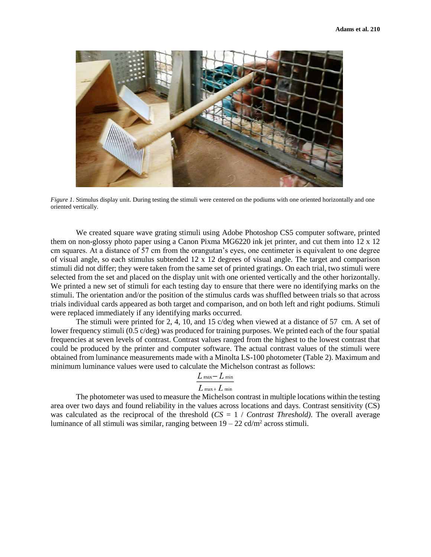

*Figure 1*. Stimulus display unit. During testing the stimuli were centered on the podiums with one oriented horizontally and one oriented vertically.

We created square wave grating stimuli using Adobe Photoshop CS5 computer software, printed them on non-glossy photo paper using a Canon Pixma MG6220 ink jet printer, and cut them into 12 x 12 cm squares. At a distance of 57 cm from the orangutan's eyes, one centimeter is equivalent to one degree of visual angle, so each stimulus subtended 12 x 12 degrees of visual angle. The target and comparison stimuli did not differ; they were taken from the same set of printed gratings. On each trial, two stimuli were selected from the set and placed on the display unit with one oriented vertically and the other horizontally. We printed a new set of stimuli for each testing day to ensure that there were no identifying marks on the stimuli. The orientation and/or the position of the stimulus cards was shuffled between trials so that across trials individual cards appeared as both target and comparison, and on both left and right podiums. Stimuli were replaced immediately if any identifying marks occurred.

The stimuli were printed for 2, 4, 10, and 15 c/deg when viewed at a distance of 57 cm. A set of lower frequency stimuli (0.5 c/deg) was produced for training purposes. We printed each of the four spatial frequencies at seven levels of contrast. Contrast values ranged from the highest to the lowest contrast that could be produced by the printer and computer software. The actual contrast values of the stimuli were obtained from luminance measurements made with a Minolta LS-100 photometer (Table 2). Maximum and minimum luminance values were used to calculate the Michelson contrast as follows:

$$
L_{\text{ max}}-L_{\text{ min}}
$$

$$
L_{\text{ max}+} L_{\text{ min}}
$$

The photometer was used to measure the Michelson contrast in multiple locations within the testing area over two days and found reliability in the values across locations and days. Contrast sensitivity (CS) was calculated as the reciprocal of the threshold (*CS* = 1 / *Contrast Threshold)*. The overall average luminance of all stimuli was similar, ranging between  $19 - 22$  cd/m<sup>2</sup> across stimuli.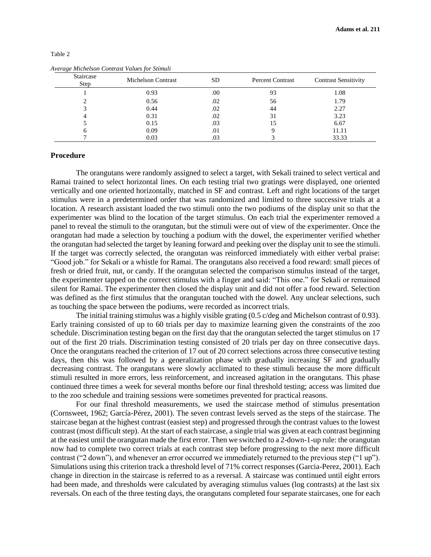| Staircase<br>Step | <b>Michelson Contrast</b> | <b>SD</b> | <b>Percent Contrast</b> | <b>Contrast Sensitivity</b> |
|-------------------|---------------------------|-----------|-------------------------|-----------------------------|
|                   | 0.93                      | .00       | 93                      | 1.08                        |
|                   | 0.56                      | .02       | 56                      | 1.79                        |
|                   | 0.44                      | .02       | 44                      | 2.27                        |
|                   | 0.31                      | .02       | 31                      | 3.23                        |
|                   | 0.15                      | .03       |                         | 6.67                        |
|                   | 0.09                      | .01       |                         | 11.11                       |
|                   | 0.03                      | .03       |                         | 33.33                       |

## Table 2

| Average Michelson Contrast Values for Stimuli |  |  |
|-----------------------------------------------|--|--|
|                                               |  |  |

# **Procedure**

The orangutans were randomly assigned to select a target, with Sekali trained to select vertical and Ramai trained to select horizontal lines. On each testing trial two gratings were displayed, one oriented vertically and one oriented horizontally, matched in SF and contrast. Left and right locations of the target stimulus were in a predetermined order that was randomized and limited to three successive trials at a location. A research assistant loaded the two stimuli onto the two podiums of the display unit so that the experimenter was blind to the location of the target stimulus. On each trial the experimenter removed a panel to reveal the stimuli to the orangutan, but the stimuli were out of view of the experimenter. Once the orangutan had made a selection by touching a podium with the dowel, the experimenter verified whether the orangutan had selected the target by leaning forward and peeking over the display unit to see the stimuli. If the target was correctly selected, the orangutan was reinforced immediately with either verbal praise: "Good job." for Sekali or a whistle for Ramai. The orangutans also received a food reward: small pieces of fresh or dried fruit, nut, or candy. If the orangutan selected the comparison stimulus instead of the target, the experimenter tapped on the correct stimulus with a finger and said: "This one." for Sekali or remained silent for Ramai. The experimenter then closed the display unit and did not offer a food reward. Selection was defined as the first stimulus that the orangutan touched with the dowel. Any unclear selections, such as touching the space between the podiums, were recorded as incorrect trials.

The initial training stimulus was a highly visible grating (0.5 c/deg and Michelson contrast of 0.93). Early training consisted of up to 60 trials per day to maximize learning given the constraints of the zoo schedule. Discrimination testing began on the first day that the orangutan selected the target stimulus on 17 out of the first 20 trials. Discrimination testing consisted of 20 trials per day on three consecutive days. Once the orangutans reached the criterion of 17 out of 20 correct selections across three consecutive testing days, then this was followed by a generalization phase with gradually increasing SF and gradually decreasing contrast. The orangutans were slowly acclimated to these stimuli because the more difficult stimuli resulted in more errors, less reinforcement, and increased agitation in the orangutans. This phase continued three times a week for several months before our final threshold testing; access was limited due to the zoo schedule and training sessions were sometimes prevented for practical reasons.

For our final threshold measurements, we used the staircase method of stimulus presentation (Cornsweet, 1962; García-Pérez, 2001). The seven contrast levels served as the steps of the staircase. The staircase began at the highest contrast (easiest step) and progressed through the contrast values to the lowest contrast (most difficult step). At the start of each staircase, a single trial was given at each contrast beginning at the easiest until the orangutan made the first error. Then we switched to a 2-down-1-up rule: the orangutan now had to complete two correct trials at each contrast step before progressing to the next more difficult contrast ("2 down"), and whenever an error occurred we immediately returned to the previous step ("1 up"). Simulations using this criterion track a threshold level of 71% correct responses (Garcia-Perez, 2001). Each change in direction in the staircase is referred to as a reversal. A staircase was continued until eight errors had been made, and thresholds were calculated by averaging stimulus values (log contrasts) at the last six reversals. On each of the three testing days, the orangutans completed four separate staircases, one for each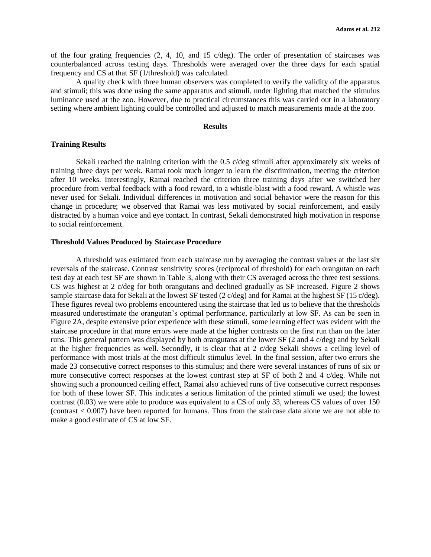of the four grating frequencies  $(2, 4, 10, \text{ and } 15 \text{ c/deg})$ . The order of presentation of staircases was counterbalanced across testing days. Thresholds were averaged over the three days for each spatial frequency and CS at that SF (1/threshold) was calculated.

A quality check with three human observers was completed to verify the validity of the apparatus and stimuli; this was done using the same apparatus and stimuli, under lighting that matched the stimulus luminance used at the zoo. However, due to practical circumstances this was carried out in a laboratory setting where ambient lighting could be controlled and adjusted to match measurements made at the zoo.

## **Results**

# **Training Results**

Sekali reached the training criterion with the 0.5 c/deg stimuli after approximately six weeks of training three days per week. Ramai took much longer to learn the discrimination, meeting the criterion after 10 weeks. Interestingly, Ramai reached the criterion three training days after we switched her procedure from verbal feedback with a food reward, to a whistle-blast with a food reward. A whistle was never used for Sekali. Individual differences in motivation and social behavior were the reason for this change in procedure; we observed that Ramai was less motivated by social reinforcement, and easily distracted by a human voice and eye contact. In contrast, Sekali demonstrated high motivation in response to social reinforcement.

### **Threshold Values Produced by Staircase Procedure**

A threshold was estimated from each staircase run by averaging the contrast values at the last six reversals of the staircase. Contrast sensitivity scores (reciprocal of threshold) for each orangutan on each test day at each test SF are shown in Table 3, along with their CS averaged across the three test sessions. CS was highest at 2 c/deg for both orangutans and declined gradually as SF increased. Figure 2 shows sample staircase data for Sekali at the lowest SF tested (2 c/deg) and for Ramai at the highest SF (15 c/deg). These figures reveal two problems encountered using the staircase that led us to believe that the thresholds measured underestimate the orangutan's optimal performance, particularly at low SF. As can be seen in Figure 2A, despite extensive prior experience with these stimuli, some learning effect was evident with the staircase procedure in that more errors were made at the higher contrasts on the first run than on the later runs. This general pattern was displayed by both orangutans at the lower SF (2 and 4 c/deg) and by Sekali at the higher frequencies as well. Secondly, it is clear that at 2 c/deg Sekali shows a ceiling level of performance with most trials at the most difficult stimulus level. In the final session, after two errors she made 23 consecutive correct responses to this stimulus; and there were several instances of runs of six or more consecutive correct responses at the lowest contrast step at SF of both 2 and 4 c/deg. While not showing such a pronounced ceiling effect, Ramai also achieved runs of five consecutive correct responses for both of these lower SF. This indicates a serious limitation of the printed stimuli we used; the lowest contrast (0.03) we were able to produce was equivalent to a CS of only 33, whereas CS values of over 150 (contrast < 0.007) have been reported for humans. Thus from the staircase data alone we are not able to make a good estimate of CS at low SF.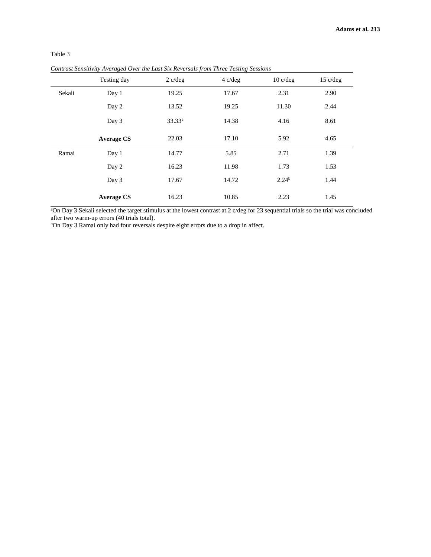|        | $\mathbf{\mathbf{\mathbf{\mathbf{\mathbf{\mathbf{\mathbf{\mathbf{\mathbf{c}}}}}}}}$ | .,          | $\mathbf{\mathcal{C}}$ |                    |            |
|--------|-------------------------------------------------------------------------------------|-------------|------------------------|--------------------|------------|
|        | Testing day                                                                         | $2$ c/deg   | $4 \text{ c/deg}$      | $10 \text{ c/deg}$ | $15$ c/deg |
| Sekali | Day 1                                                                               | 19.25       | 17.67                  | 2.31               | 2.90       |
|        | Day 2                                                                               | 13.52       | 19.25                  | 11.30              | 2.44       |
|        | Day 3                                                                               | $33.33^{a}$ | 14.38                  | 4.16               | 8.61       |
|        | <b>Average CS</b>                                                                   | 22.03       | 17.10                  | 5.92               | 4.65       |
| Ramai  | Day 1                                                                               | 14.77       | 5.85                   | 2.71               | 1.39       |
|        | Day 2                                                                               | 16.23       | 11.98                  | 1.73               | 1.53       |
|        | Day 3                                                                               | 17.67       | 14.72                  | 2.24 <sup>b</sup>  | 1.44       |
|        | <b>Average CS</b>                                                                   | 16.23       | 10.85                  | 2.23               | 1.45       |

# Table 3

*Contrast Sensitivity Averaged Over the Last Six Reversals from Three Testing Sessions*

<sup>a</sup>On Day 3 Sekali selected the target stimulus at the lowest contrast at 2 c/deg for 23 sequential trials so the trial was concluded after two warm-up errors (40 trials total).

bOn Day 3 Ramai only had four reversals despite eight errors due to a drop in affect.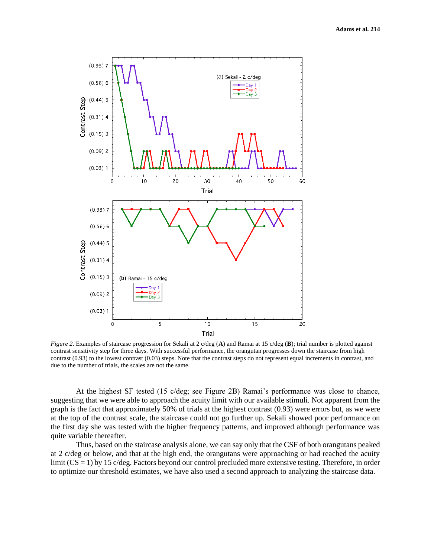

*Figure 2*. Examples of staircase progression for Sekali at 2 c/deg (**A**) and Ramai at 15 c/deg (**B**); trial number is plotted against contrast sensitivity step for three days. With successful performance, the orangutan progresses down the staircase from high contrast (0.93) to the lowest contrast (0.03) steps. Note that the contrast steps do not represent equal increments in contrast, and due to the number of trials, the scales are not the same.

At the highest SF tested (15 c/deg; see Figure 2B) Ramai's performance was close to chance, suggesting that we were able to approach the acuity limit with our available stimuli. Not apparent from the graph is the fact that approximately 50% of trials at the highest contrast (0.93) were errors but, as we were at the top of the contrast scale, the staircase could not go further up. Sekali showed poor performance on the first day she was tested with the higher frequency patterns, and improved although performance was quite variable thereafter.

Thus, based on the staircase analysis alone, we can say only that the CSF of both orangutans peaked at 2 c/deg or below, and that at the high end, the orangutans were approaching or had reached the acuity limit (CS = 1) by 15 c/deg. Factors beyond our control precluded more extensive testing. Therefore, in order to optimize our threshold estimates, we have also used a second approach to analyzing the staircase data.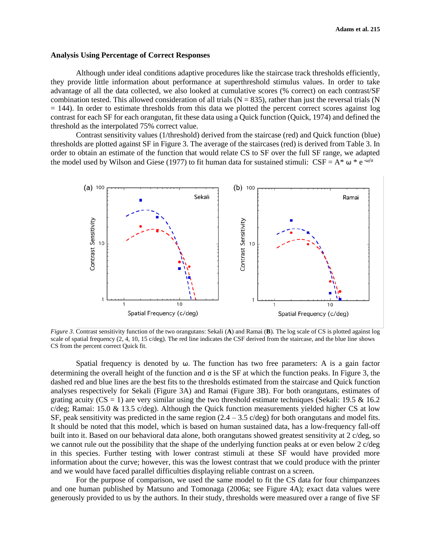## **Analysis Using Percentage of Correct Responses**

Although under ideal conditions adaptive procedures like the staircase track thresholds efficiently, they provide little information about performance at superthreshold stimulus values. In order to take advantage of all the data collected, we also looked at cumulative scores (% correct) on each contrast/SF combination tested. This allowed consideration of all trials  $(N = 835)$ , rather than just the reversal trials  $(N = 835)$  $= 144$ ). In order to estimate thresholds from this data we plotted the percent correct scores against log contrast for each SF for each orangutan, fit these data using a Quick function (Quick, 1974) and defined the threshold as the interpolated 75% correct value.

Contrast sensitivity values (1/threshold) derived from the staircase (red) and Quick function (blue) thresholds are plotted against SF in Figure 3. The average of the staircases (red) is derived from Table 3. In order to obtain an estimate of the function that would relate CS to SF over the full SF range, we adapted the model used by Wilson and Giese (1977) to fit human data for sustained stimuli:  $CSF = A^* \omega^* e^{-\omega/\sigma}$ 



*Figure 3*. Contrast sensitivity function of the two orangutans: Sekali (**A**) and Ramai (**B**). The log scale of CS is plotted against log scale of spatial frequency (2, 4, 10, 15 c/deg). The red line indicates the CSF derived from the staircase, and the blue line shows CS from the percent correct Quick fit.

Spatial frequency is denoted by  $\omega$ . The function has two free parameters: A is a gain factor determining the overall height of the function and σ is the SF at which the function peaks. In Figure 3, the dashed red and blue lines are the best fits to the thresholds estimated from the staircase and Quick function analyses respectively for Sekali (Figure 3A) and Ramai (Figure 3B). For both orangutans, estimates of grating acuity ( $CS = 1$ ) are very similar using the two threshold estimate techniques (Sekali: 19.5 & 16.2) c/deg; Ramai: 15.0  $\&$  13.5 c/deg). Although the Quick function measurements yielded higher CS at low SF, peak sensitivity was predicted in the same region  $(2.4 - 3.5 \text{ c/deg})$  for both orangutans and model fits. It should be noted that this model, which is based on human sustained data, has a low-frequency fall-off built into it. Based on our behavioral data alone, both orangutans showed greatest sensitivity at 2 c/deg, so we cannot rule out the possibility that the shape of the underlying function peaks at or even below 2 c/deg in this species. Further testing with lower contrast stimuli at these SF would have provided more information about the curve; however, this was the lowest contrast that we could produce with the printer and we would have faced parallel difficulties displaying reliable contrast on a screen.

For the purpose of comparison, we used the same model to fit the CS data for four chimpanzees and one human published by Matsuno and Tomonaga (2006a; see Figure 4A); exact data values were generously provided to us by the authors. In their study, thresholds were measured over a range of five SF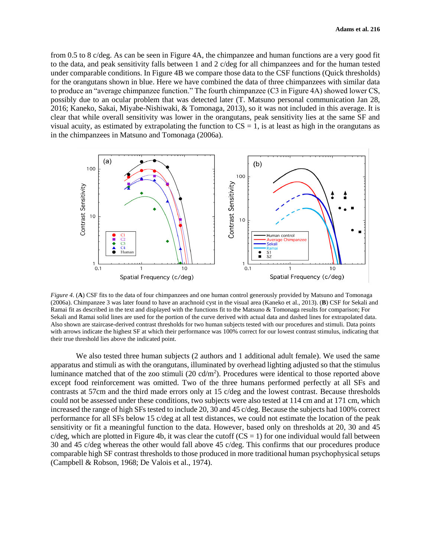from 0.5 to 8 c/deg. As can be seen in Figure 4A, the chimpanzee and human functions are a very good fit to the data, and peak sensitivity falls between 1 and 2 c/deg for all chimpanzees and for the human tested under comparable conditions. In Figure 4B we compare those data to the CSF functions (Quick thresholds) for the orangutans shown in blue. Here we have combined the data of three chimpanzees with similar data to produce an "average chimpanzee function." The fourth chimpanzee (C3 in Figure 4A) showed lower CS, possibly due to an ocular problem that was detected later (T. Matsuno personal communication Jan 28, 2016; Kaneko, Sakai, Miyabe-Nishiwaki, & Tomonaga, 2013), so it was not included in this average. It is clear that while overall sensitivity was lower in the orangutans, peak sensitivity lies at the same SF and visual acuity, as estimated by extrapolating the function to  $CS = 1$ , is at least as high in the orangutans as in the chimpanzees in Matsuno and Tomonaga (2006a).



*Figure 4*. (**A**) CSF fits to the data of four chimpanzees and one human control generously provided by Matsuno and Tomonaga (2006a). Chimpanzee 3 was later found to have an arachnoid cyst in the visual area (Kaneko et al., 2013). (**B**) CSF for Sekali and Ramai fit as described in the text and displayed with the functions fit to the Matsuno & Tomonaga results for comparison; For Sekali and Ramai solid lines are used for the portion of the curve derived with actual data and dashed lines for extrapolated data. Also shown are staircase-derived contrast thresholds for two human subjects tested with our procedures and stimuli. Data points with arrows indicate the highest SF at which their performance was 100% correct for our lowest contrast stimulus, indicating that their true threshold lies above the indicated point.

We also tested three human subjects (2 authors and 1 additional adult female). We used the same apparatus and stimuli as with the orangutans, illuminated by overhead lighting adjusted so that the stimulus luminance matched that of the zoo stimuli  $(20 \text{ cd/m}^2)$ . Procedures were identical to those reported above except food reinforcement was omitted. Two of the three humans performed perfectly at all SFs and contrasts at 57cm and the third made errors only at 15 c/deg and the lowest contrast. Because thresholds could not be assessed under these conditions, two subjects were also tested at 114 cm and at 171 cm, which increased the range of high SFs tested to include 20, 30 and 45 c/deg. Because the subjects had 100% correct performance for all SFs below 15 c/deg at all test distances, we could not estimate the location of the peak sensitivity or fit a meaningful function to the data. However, based only on thresholds at 20, 30 and 45 c/deg, which are plotted in Figure 4b, it was clear the cutoff  $(CS = 1)$  for one individual would fall between 30 and 45 c/deg whereas the other would fall above 45 c/deg. This confirms that our procedures produce comparable high SF contrast thresholds to those produced in more traditional human psychophysical setups (Campbell & Robson, 1968; De Valois et al., 1974).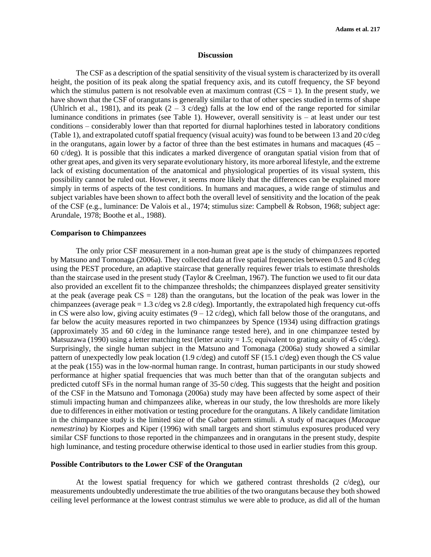#### **Discussion**

The CSF as a description of the spatial sensitivity of the visual system is characterized by its overall height, the position of its peak along the spatial frequency axis, and its cutoff frequency, the SF beyond which the stimulus pattern is not resolvable even at maximum contrast  $(CS = 1)$ . In the present study, we have shown that the CSF of orangutans is generally similar to that of other species studied in terms of shape (Uhlrich et al., 1981), and its peak  $(2 - 3 \text{ c/deg})$  falls at the low end of the range reported for similar luminance conditions in primates (see Table 1). However, overall sensitivity is – at least under our test conditions – considerably lower than that reported for diurnal haplorhines tested in laboratory conditions (Table 1), and extrapolated cutoff spatial frequency (visual acuity) was found to be between 13 and 20 c/deg in the orangutans, again lower by a factor of three than the best estimates in humans and macaques  $(45 -$ 60 c/deg). It is possible that this indicates a marked divergence of orangutan spatial vision from that of other great apes, and given its very separate evolutionary history, its more arboreal lifestyle, and the extreme lack of existing documentation of the anatomical and physiological properties of its visual system, this possibility cannot be ruled out. However, it seems more likely that the differences can be explained more simply in terms of aspects of the test conditions. In humans and macaques, a wide range of stimulus and subject variables have been shown to affect both the overall level of sensitivity and the location of the peak of the CSF (e.g., luminance: De Valois et al., 1974; stimulus size: Campbell & Robson, 1968; subject age: Arundale, 1978; Boothe et al., 1988).

#### **Comparison to Chimpanzees**

The only prior CSF measurement in a non-human great ape is the study of chimpanzees reported by Matsuno and Tomonaga (2006a). They collected data at five spatial frequencies between 0.5 and 8 c/deg using the PEST procedure, an adaptive staircase that generally requires fewer trials to estimate thresholds than the staircase used in the present study (Taylor & Creelman, 1967). The function we used to fit our data also provided an excellent fit to the chimpanzee thresholds; the chimpanzees displayed greater sensitivity at the peak (average peak  $CS = 128$ ) than the orangutans, but the location of the peak was lower in the chimpanzees (average peak =  $1.3$  c/deg vs  $2.8$  c/deg). Importantly, the extrapolated high frequency cut-offs in CS were also low, giving acuity estimates  $(9 - 12 \text{ c/deg})$ , which fall below those of the orangutans, and far below the acuity measures reported in two chimpanzees by Spence (1934) using diffraction gratings (approximately 35 and 60 c/deg in the luminance range tested here), and in one chimpanzee tested by Matsuzawa (1990) using a letter matching test (letter acuity = 1.5; equivalent to grating acuity of 45 c/deg). Surprisingly, the single human subject in the Matsuno and Tomonaga (2006a) study showed a similar pattern of unexpectedly low peak location (1.9 c/deg) and cutoff SF (15.1 c/deg) even though the CS value at the peak (155) was in the low-normal human range. In contrast, human participants in our study showed performance at higher spatial frequencies that was much better than that of the orangutan subjects and predicted cutoff SFs in the normal human range of 35-50 c/deg. This suggests that the height and position of the CSF in the Matsuno and Tomonaga (2006a) study may have been affected by some aspect of their stimuli impacting human and chimpanzees alike, whereas in our study, the low thresholds are more likely due to differences in either motivation or testing procedure for the orangutans. A likely candidate limitation in the chimpanzee study is the limited size of the Gabor pattern stimuli. A study of macaques (*Macaque nemestrina*) by Kiorpes and Kiper (1996) with small targets and short stimulus exposures produced very similar CSF functions to those reported in the chimpanzees and in orangutans in the present study, despite high luminance, and testing procedure otherwise identical to those used in earlier studies from this group.

# **Possible Contributors to the Lower CSF of the Orangutan**

At the lowest spatial frequency for which we gathered contrast thresholds (2 c/deg), our measurements undoubtedly underestimate the true abilities of the two orangutans because they both showed ceiling level performance at the lowest contrast stimulus we were able to produce, as did all of the human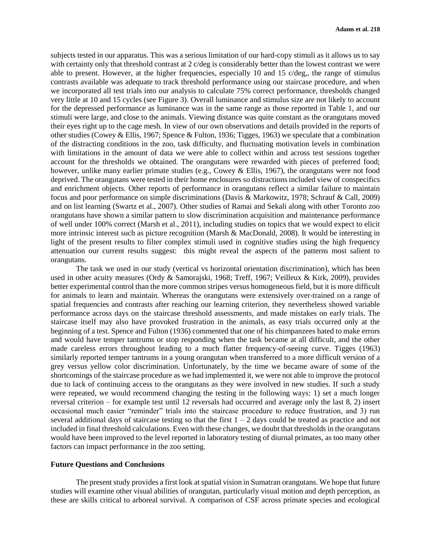subjects tested in our apparatus. This was a serious limitation of our hard-copy stimuli as it allows us to say with certainty only that threshold contrast at 2 c/deg is considerably better than the lowest contrast we were able to present. However, at the higher frequencies, especially 10 and 15 c/deg,, the range of stimulus contrasts available was adequate to track threshold performance using our staircase procedure, and when we incorporated all test trials into our analysis to calculate 75% correct performance, thresholds changed very little at 10 and 15 cycles (see Figure 3). Overall luminance and stimulus size are not likely to account for the depressed performance as luminance was in the same range as those reported in Table 1, and our stimuli were large, and close to the animals. Viewing distance was quite constant as the orangutans moved their eyes right up to the cage mesh. In view of our own observations and details provided in the reports of other studies (Cowey & Ellis, 1967; Spence & Fulton, 1936; Tigges, 1963) we speculate that a combination of the distracting conditions in the zoo, task difficulty, and fluctuating motivation levels in combination with limitations in the amount of data we were able to collect within and across test sessions together account for the thresholds we obtained. The orangutans were rewarded with pieces of preferred food; however, unlike many earlier primate studies (e.g., Cowey & Ellis, 1967), the orangutans were not food deprived. The orangutans were tested in their home enclosures so distractions included view of conspecifics and enrichment objects. Other reports of performance in orangutans reflect a similar failure to maintain focus and poor performance on simple discriminations (Davis & Markowitz, 1978; Schrauf & Call, 2009) and on list learning (Swartz et al., 2007). Other studies of Ramai and Sekali along with other Toronto zoo orangutans have shown a similar pattern to slow discrimination acquisition and maintenance performance of well under 100% correct (Marsh et al., 2011), including studies on topics that we would expect to elicit more intrinsic interest such as picture recognition (Marsh & MacDonald, 2008). It would be interesting in light of the present results to filter complex stimuli used in cognitive studies using the high frequency attenuation our current results suggest: this might reveal the aspects of the patterns most salient to orangutans.

The task we used in our study (vertical vs horizontal orientation discrimination), which has been used in other acuity measures (Ordy & Samorajski, 1968; Treff, 1967; Veilleux & Kirk, 2009), provides better experimental control than the more common stripes versus homogeneous field, but it is more difficult for animals to learn and maintain. Whereas the orangutans were extensively over-trained on a range of spatial frequencies and contrasts after reaching our learning criterion, they nevertheless showed variable performance across days on the staircase threshold assessments, and made mistakes on early trials. The staircase itself may also have provoked frustration in the animals, as easy trials occurred only at the beginning of a test. Spence and Fulton (1936) commented that one of his chimpanzees hated to make errors and would have temper tantrums or stop responding when the task became at all difficult, and the other made careless errors throughout leading to a much flatter frequency-of-seeing curve. Tigges (1963) similarly reported temper tantrums in a young orangutan when transferred to a more difficult version of a grey versus yellow color discrimination. Unfortunately, by the time we became aware of some of the shortcomings of the staircase procedure as we had implemented it, we were not able to improve the protocol due to lack of continuing access to the orangutans as they were involved in new studies. If such a study were repeated, we would recommend changing the testing in the following ways: 1) set a much longer reversal criterion – for example test until 12 reversals had occurred and average only the last 8, 2) insert occasional much easier "reminder" trials into the staircase procedure to reduce frustration, and 3) run several additional days of staircase testing so that the first  $1 - 2$  days could be treated as practice and not included in final threshold calculations. Even with these changes, we doubt that thresholds in the orangutans would have been improved to the level reported in laboratory testing of diurnal primates, as too many other factors can impact performance in the zoo setting.

# **Future Questions and Conclusions**

The present study provides a first look at spatial vision in Sumatran orangutans. We hope that future studies will examine other visual abilities of orangutan, particularly visual motion and depth perception, as these are skills critical to arboreal survival. A comparison of CSF across primate species and ecological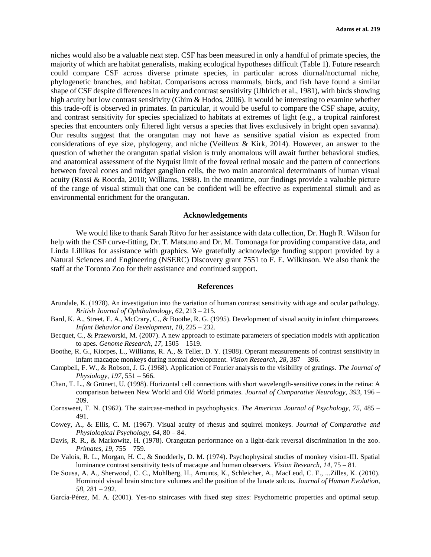niches would also be a valuable next step. CSF has been measured in only a handful of primate species, the majority of which are habitat generalists, making ecological hypotheses difficult (Table 1). Future research could compare CSF across diverse primate species, in particular across diurnal/nocturnal niche, phylogenetic branches, and habitat. Comparisons across mammals, birds, and fish have found a similar shape of CSF despite differences in acuity and contrast sensitivity (Uhlrich et al., 1981), with birds showing high acuity but low contrast sensitivity (Ghim & Hodos, 2006). It would be interesting to examine whether this trade-off is observed in primates. In particular, it would be useful to compare the CSF shape, acuity, and contrast sensitivity for species specialized to habitats at extremes of light (e.g., a tropical rainforest species that encounters only filtered light versus a species that lives exclusively in bright open savanna). Our results suggest that the orangutan may not have as sensitive spatial vision as expected from considerations of eye size, phylogeny, and niche (Veilleux & Kirk, 2014). However, an answer to the question of whether the orangutan spatial vision is truly anomalous will await further behavioral studies, and anatomical assessment of the Nyquist limit of the foveal retinal mosaic and the pattern of connections between foveal cones and midget ganglion cells, the two main anatomical determinants of human visual acuity (Rossi & Roorda, 2010; Williams, 1988). In the meantime, our findings provide a valuable picture of the range of visual stimuli that one can be confident will be effective as experimental stimuli and as environmental enrichment for the orangutan.

## **Acknowledgements**

We would like to thank Sarah Ritvo for her assistance with data collection, Dr. Hugh R. Wilson for help with the CSF curve-fitting, Dr. T. Matsuno and Dr. M. Tomonaga for providing comparative data, and Linda Lillikas for assistance with graphics. We gratefully acknowledge funding support provided by a Natural Sciences and Engineering (NSERC) Discovery grant 7551 to F. E. Wilkinson. We also thank the staff at the Toronto Zoo for their assistance and continued support.

## **References**

- Arundale, K. (1978). An investigation into the variation of human contrast sensitivity with age and ocular pathology. *British Journal of Ophthalmology*, *62*, 213 – 215.
- Bard, K. A., Street, E. A., McCrary, C., & Boothe, R. G. (1995). Development of visual acuity in infant chimpanzees. *Infant Behavior and Development*, *18*, 225 – 232.
- Becquet, C., & Przeworski, M. (2007). A new approach to estimate parameters of speciation models with application to apes. *Genome Research*, *17*, 1505 – 1519.
- Boothe, R. G., Kiorpes, L., Williams, R. A., & Teller, D. Y. (1988). Operant measurements of contrast sensitivity in infant macaque monkeys during normal development. *Vision Research*, *28*, 387 – 396.
- Campbell, F. W., & Robson, J. G. (1968). Application of Fourier analysis to the visibility of gratings. *The Journal of Physiology*, *197*, 551 – 566.
- Chan, T. L., & Grünert, U. (1998). Horizontal cell connections with short wavelength‐sensitive cones in the retina: A comparison between New World and Old World primates. *Journal of Comparative Neurology*, *393*, 196 – 209.
- Cornsweet, T. N. (1962). The staircase-method in psychophysics. *The American Journal of Psychology*, *75*, 485 491.
- Cowey, A., & Ellis, C. M. (1967). Visual acuity of rhesus and squirrel monkeys. *Journal of Comparative and Physiological Psychology*, *64*, 80 – 84.
- Davis, R. R., & Markowitz, H. (1978). Orangutan performance on a light-dark reversal discrimination in the zoo. *Primates*, *19*, 755 – 759.
- De Valois, R. L., Morgan, H. C., & Snodderly, D. M. (1974). Psychophysical studies of monkey vision-III. Spatial luminance contrast sensitivity tests of macaque and human observers. *Vision Research*, *14*, 75 – 81.
- De Sousa, A. A., Sherwood, C. C., Mohlberg, H., Amunts, K., Schleicher, A., MacLeod, C. E., ...Zilles, K. (2010). Hominoid visual brain structure volumes and the position of the lunate sulcus. *Journal of Human Evolution*, *58*, 281 – 292.
- García-Pérez, M. A. (2001). Yes-no staircases with fixed step sizes: Psychometric properties and optimal setup.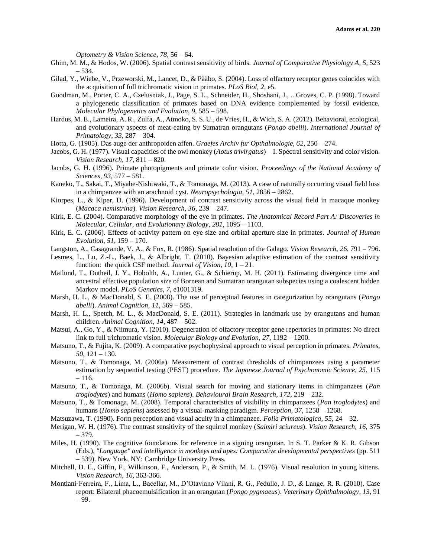*Optometry & Vision Science*, *78*, 56 – 64.

- Ghim, M. M., & Hodos, W. (2006). Spatial contrast sensitivity of birds. *Journal of Comparative Physiology A*, *5*, 523 – 534.
- Gilad, Y., Wiebe, V., Przeworski, M., Lancet, D., & Pääbo, S. (2004). Loss of olfactory receptor genes coincides with the acquisition of full trichromatic vision in primates. *PLoS Biol*, *2*, e5.
- Goodman, M., Porter, C. A., Czelusniak, J., Page, S. L., Schneider, H., Shoshani, J., ...Groves, C. P. (1998). Toward a phylogenetic classification of primates based on DNA evidence complemented by fossil evidence. *Molecular Phylogenetics and Evolution*, *9*, 585 – 598.
- Hardus, M. E., Lameira, A. R., Zulfa, A., Atmoko, S. S. U., de Vries, H., & Wich, S. A. (2012). Behavioral, ecological, and evolutionary aspects of meat-eating by Sumatran orangutans (*Pongo abelii*). *International Journal of Primatology*, *33*, 287 – 304.
- Hotta, G. (1905). Das auge der anthropoiden affen. *Graefes Archiv fur Opthalmologie, 62*, 250 274.
- Jacobs, G. H. (1977). Visual capacities of the owl monkey (*Aotus trivirgatus*)—I. Spectral sensitivity and color vision. *Vision Research*, *17*, 811 – 820.
- Jacobs, G. H. (1996). Primate photopigments and primate color vision. *Proceedings of the National Academy of Sciences*, *93*, 577 – 581.
- Kaneko, T., Sakai, T., Miyabe-Nishiwaki, T., & Tomonaga, M. (2013). A case of naturally occurring visual field loss in a chimpanzee with an arachnoid cyst. *Neuropsychologia*, *51*, 2856 – 2862.
- Kiorpes, L., & Kiper, D. (1996). Development of contrast sensitivity across the visual field in macaque monkey (*Macaca nemistrina*). *Vision Research, 36*, 239 – 247.
- Kirk, E. C. (2004). Comparative morphology of the eye in primates. *The Anatomical Record Part A: Discoveries in Molecular, Cellular, and Evolutionary Biology*, *281*, 1095 – 1103.
- Kirk, E. C. (2006). Effects of activity pattern on eye size and orbital aperture size in primates. *Journal of Human Evolution*, *51*, 159 – 170.
- Langston, A., Casagrande, V. A., & Fox, R. (1986). Spatial resolution of the Galago. *Vision Research*, *26*, 791 796.
- Lesmes, L., Lu, Z.-L., Baek, J., & Albright, T. (2010). Bayesian adaptive estimation of the contrast sensitivity function: the quick CSF method. *Journal of Vision, 10*, 1 – 21.
- Mailund, T., Dutheil, J. Y., Hobolth, A., Lunter, G., & Schierup, M. H. (2011). Estimating divergence time and ancestral effective population size of Bornean and Sumatran orangutan subspecies using a coalescent hidden Markov model. *PLoS Genetics*, *7,* e1001319.
- Marsh, H. L., & MacDonald, S. E. (2008). The use of perceptual features in categorization by orangutans (*Pongo abelli*). *Animal Cognition*, *11*, 569 – 585.
- Marsh, H. L., Spetch, M. L., & MacDonald, S. E. (2011). Strategies in landmark use by orangutans and human children. *Animal Cognition*, *14*, 487 – 502.
- Matsui, A., Go, Y., & Niimura, Y. (2010). Degeneration of olfactory receptor gene repertories in primates: No direct link to full trichromatic vision. *Molecular Biology and Evolution*, *27*, 1192 – 1200.
- Matsuno, T., & Fujita, K. (2009). A comparative psychophysical approach to visual perception in primates. *Primates*, *50*, 121 – 130.
- Matsuno, T., & Tomonaga, M. (2006a). Measurement of contrast thresholds of chimpanzees using a parameter estimation by sequential testing (PEST) procedure. *The Japanese Journal of Psychonomic Science, 25*, 115  $-116.$
- Matsuno, T., & Tomonaga, M. (2006b). Visual search for moving and stationary items in chimpanzees (*Pan troglodytes*) and humans (*Homo sapiens*). *Behavioural Brain Research*, *172*, 219 – 232.
- Matsuno, T., & Tomonaga, M. (2008). Temporal characteristics of visibility in chimpanzees (*Pan troglodytes*) and humans (*Homo sapiens*) assessed by a visual-masking paradigm. *Perception*, *37*, 1258 – 1268.
- Matsuzawa, T. (1990). Form perception and visual acuity in a chimpanzee. *Folia Primatologica*, *55*, 24 32.
- Merigan, W. H. (1976). The contrast sensitivity of the squirrel monkey (*Saimiri sciureus*). *Vision Research*, *16*, 375 – 379.
- Miles, H. (1990). The cognitive foundations for reference in a signing orangutan. In S. T. Parker & K. R. Gibson (Eds.), *"Language" and intelligence in monkeys and apes: Comparative developmental perspectives* (pp. 511 – 539). New York, NY: Cambridge University Press.
- Mitchell, D. E., Giffin, F., Wilkinson, F., Anderson, P., & Smith, M. L. (1976). Visual resolution in young kittens. *Vision Research*, *16*, 363-366.
- Montiani‐Ferreira, F., Lima, L., Bacellar, M., D'Otaviano Vilani, R. G., Fedullo, J. D., & Lange, R. R. (2010). Case report: Bilateral phacoemulsification in an orangutan (*Pongo pygmaeus*). *Veterinary Ophthalmology*, *13*, 91 – 99.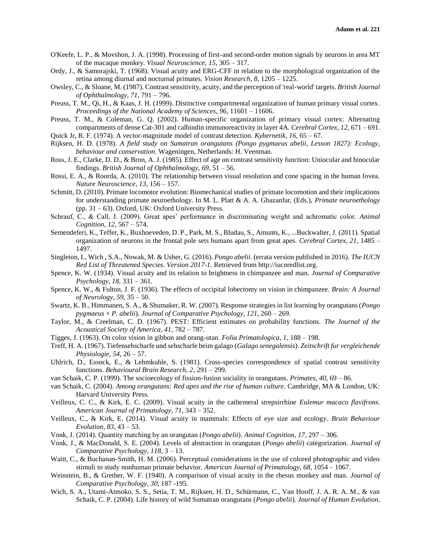- O'Keefe, L. P., & Movshon, J. A. (1998). Processing of first-and second-order motion signals by neurons in area MT of the macaque monkey. *Visual Neuroscience*, *15*, 305 – 317.
- Ordy, J., & Samorajski, T. (1968). Visual acuity and ERG-CFF in relation to the morphological organization of the retina among diurnal and nocturnal primates. *Vision Research, 8*, 1205 – 1225.
- Owsley, C., & Sloane, M. (1987). Contrast sensitivity, acuity, and the perception of 'real-world' targets. *British Journal of Ophthalmology, 71*, 791 – 796.
- Preuss, T. M., Qi, H., & Kaas, J. H. (1999). Distinctive compartmental organization of human primary visual cortex. *Proceedings of the National Academy of Sciences*, *96*, 11601 – 11606.
- Preuss, T. M., & Coleman, G. Q. (2002). Human-specific organization of primary visual cortex: Alternating compartments of dense Cat-301 and calbindin immunoreactivity in layer 4A. *Cerebral Cortex*, *12*, 671 – 691.
- Quick Jr, R. F. (1974). A vector-magnitude model of contrast detection. *Kybernetik*, *16*, 65 67.
- Rijksen, H. D. (1978). *A field study on Sumatran orangutans (Pongo pygmaeus abelii, Lesson 1827): Ecology, behaviour and conservation*. Wageningen, Netherlands: H. Veenman.
- Ross, J. E., Clarke, D. D., & Bron, A. J. (1985). Effect of age on contrast sensitivity function: Uniocular and binocular findings. *British Journal of Ophthalmology*, *69*, 51 – 56.
- Rossi, E. A., & Roorda, A. (2010). The relationship between visual resolution and cone spacing in the human fovea. *Nature Neuroscience*, *13*, 156 – 157.
- Schmitt, D. (2010). Primate locomotor evolution: Biomechanical studies of primate locomotion and their implications for understanding primate neuroethology. In M. L. Platt & A. A. Ghazanfar, (Eds.), *Primate neuroethology* (pp. 31 – 63). Oxford, UK: Oxford University Press.
- Schrauf, C., & Call, J. (2009). Great apes' performance in discriminating weight and achromatic color. *Animal Cognition*, *12*, 567 – 574.
- Semendeferi, K., Teffer, K., Buxhoeveden, D. P., Park, M. S., Bludau, S., Amunts, K., ...Buckwalter, J. (2011). Spatial organization of neurons in the frontal pole sets humans apart from great apes. *Cerebral Cortex*, *21*, 1485 – 1497.
- Singleton, I., Wich , S.A., Nowak, M. & Usher, G. (2016). *Pongo abelii*. (errata version published in 2016). *The IUCN Red List of Threatened Species*. *Version 2017-1.* Retrieved from http://iucnredlist.org.
- Spence, K. W. (1934). Visual acuity and its relation to brightness in chimpanzee and man. *Journal of Comparative Psychology*, *18*, 331 – 361.
- Spence, K. W., & Fulton, J. F. (1936). The effects of occipital lobectomy on vision in chimpanzee. *Brain: A Journal of Neurology, 59,* 35 – 50.
- Swartz, K. B., Himmanen, S. A., & Shumaker, R. W. (2007). Response strategies in list learning by orangutans (*Pongo pygmaeus* × *P. abelii*). *Journal of Comparative Psychology*, *121*, 260 – 269.
- Taylor, M., & Creelman, C. D. (1967). PEST: Efficient estimates on probability functions. *The Journal of the Acoustical Society of America*, *41*, 782 – 787.
- Tigges, J. (1963). On color vision in gibbon and orang-utan. *Folia Primatologica*, *1*, 188 198.
- Treff, H. A. (1967). Tiefensehscharfe und sehscharfe beim galago (*Galago senegalensis*). *Zeitschrift fur vergleichende Physiologie, 54*, 26 – 57.
- Uhlrich, D., Essock, E., & Lehmkuhle, S. (1981). Cross-species correspondence of spatial contrast sensitivity functions. *Behavioural Brain Research, 2*, 291 – 299.
- van Schaik, C. P. (1999). The socioecology of fission-fusion sociality in orangutans. *Primates*, *40*, 69 86.
- van Schaik, C. (2004). *Among orangutans: Red apes and the rise of human culture*. Cambridge, MA & London, UK: Harvard University Press.
- Veilleux, C. C., & Kirk, E. C. (2009). Visual acuity in the cathemeral strepsirrhine *Eulemur macaco flavifrons*. *American Journal of Primatology*, *71*, 343 – 352.
- Veilleux, C., & Kirk, E. (2014). Visual acuity in mammals: Effects of eye size and ecology. *Brain Behaviour Evolution, 83*, 43 – 53.
- Vonk, J. (2014). Quantity matching by an orangutan (*Pongo abelii*). *Animal Cognition*, *17*, 297 306.
- Vonk, J., & MacDonald, S. E. (2004). Levels of abstraction in orangutan (*Pongo abelii*) categorization. *Journal of Comparative Psychology*, *118*, 3 – 13.
- Waitt, C., & Buchanan-Smith, H. M. (2006). Perceptual considerations in the use of colored photographic and video stimuli to study nonhuman primate behavior. *American Journal of Primatology*, *68*, 1054 – 1067.
- Weinstein, B., & Grether, W. F. (1940). A comparison of visual acuity in the rhesus monkey and man. *Journal of Comparative Psychology*, *30*, 187 -195.
- Wich, S. A., Utami-Atmoko, S. S., Setia, T. M., Rijksen, H. D., Schürmann, C., Van Hooff, J. A. R. A. M., & van Schaik, C. P. (2004). Life history of wild Sumatran orangutans (*Pongo abelii*). *Journal of Human Evolution*,